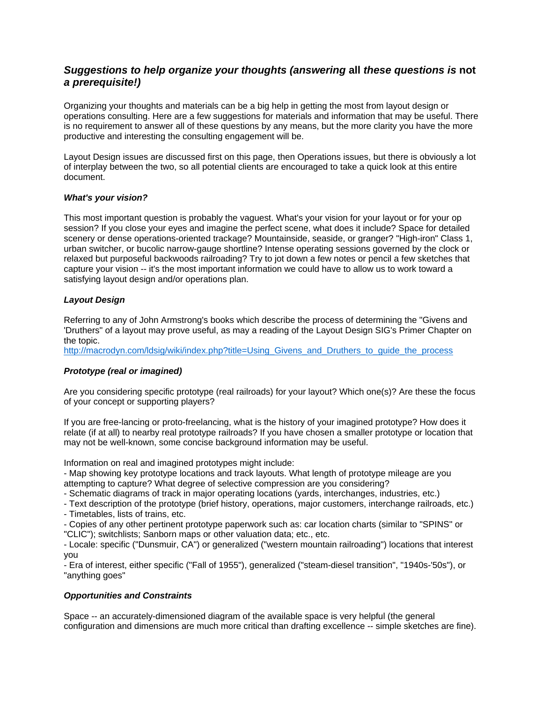# *Suggestions to help organize your thoughts (answering* **all** *these questions is* **not**  *a prerequisite!)*

Organizing your thoughts and materials can be a big help in getting the most from layout design or operations consulting. Here are a few suggestions for materials and information that may be useful. There is no requirement to answer all of these questions by any means, but the more clarity you have the more productive and interesting the consulting engagement will be.

Layout Design issues are discussed first on this page, then Operations issues, but there is obviously a lot of interplay between the two, so all potential clients are encouraged to take a quick look at this entire document.

## *What's your vision?*

This most important question is probably the vaguest. What's your vision for your layout or for your op session? If you close your eyes and imagine the perfect scene, what does it include? Space for detailed scenery or dense operations-oriented trackage? Mountainside, seaside, or granger? "High-iron" Class 1, urban switcher, or bucolic narrow-gauge shortline? Intense operating sessions governed by the clock or relaxed but purposeful backwoods railroading? Try to jot down a few notes or pencil a few sketches that capture your vision -- it's the most important information we could have to allow us to work toward a satisfying layout design and/or operations plan.

## *Layout Design*

Referring to any of John Armstrong's books which describe the process of determining the "Givens and 'Druthers" of a layout may prove useful, as may a reading of the Layout Design SIG's Primer Chapter on the topic.

http://macrodyn.com/ldsig/wiki/index.php?title=Using\_Givens\_and\_Druthers\_to\_guide\_the\_process

# *Prototype (real or imagined)*

Are you considering specific prototype (real railroads) for your layout? Which one(s)? Are these the focus of your concept or supporting players?

If you are free-lancing or proto-freelancing, what is the history of your imagined prototype? How does it relate (if at all) to nearby real prototype railroads? If you have chosen a smaller prototype or location that may not be well-known, some concise background information may be useful.

Information on real and imagined prototypes might include:

- Map showing key prototype locations and track layouts. What length of prototype mileage are you attempting to capture? What degree of selective compression are you considering?

- Schematic diagrams of track in major operating locations (yards, interchanges, industries, etc.)

- Text description of the prototype (brief history, operations, major customers, interchange railroads, etc.)

- Timetables, lists of trains, etc.

- Copies of any other pertinent prototype paperwork such as: car location charts (similar to "SPINS" or "CLIC"); switchlists; Sanborn maps or other valuation data; etc., etc.

- Locale: specific ("Dunsmuir, CA") or generalized ("western mountain railroading") locations that interest you

- Era of interest, either specific ("Fall of 1955"), generalized ("steam-diesel transition", "1940s-'50s"), or "anything goes"

#### *Opportunities and Constraints*

Space -- an accurately-dimensioned diagram of the available space is very helpful (the general configuration and dimensions are much more critical than drafting excellence -- simple sketches are fine).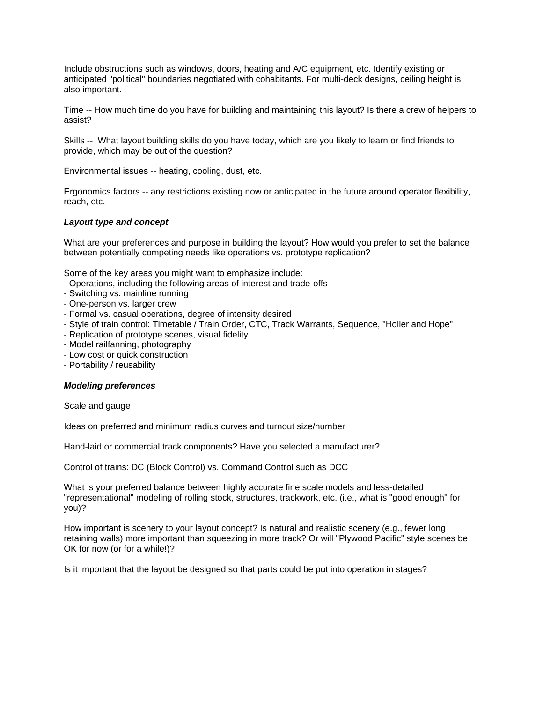Include obstructions such as windows, doors, heating and A/C equipment, etc. Identify existing or anticipated "political" boundaries negotiated with cohabitants. For multi-deck designs, ceiling height is also important.

Time -- How much time do you have for building and maintaining this layout? Is there a crew of helpers to assist?

Skills -- What layout building skills do you have today, which are you likely to learn or find friends to provide, which may be out of the question?

Environmental issues -- heating, cooling, dust, etc.

Ergonomics factors -- any restrictions existing now or anticipated in the future around operator flexibility, reach, etc.

#### *Layout type and concept*

What are your preferences and purpose in building the layout? How would you prefer to set the balance between potentially competing needs like operations vs. prototype replication?

Some of the key areas you might want to emphasize include:

- Operations, including the following areas of interest and trade-offs
- Switching vs. mainline running
- One-person vs. larger crew
- Formal vs. casual operations, degree of intensity desired
- Style of train control: Timetable / Train Order, CTC, Track Warrants, Sequence, "Holler and Hope"
- Replication of prototype scenes, visual fidelity
- Model railfanning, photography
- Low cost or quick construction
- Portability / reusability

#### *Modeling preferences*

Scale and gauge

Ideas on preferred and minimum radius curves and turnout size/number

Hand-laid or commercial track components? Have you selected a manufacturer?

Control of trains: DC (Block Control) vs. Command Control such as DCC

What is your preferred balance between highly accurate fine scale models and less-detailed "representational" modeling of rolling stock, structures, trackwork, etc. (i.e., what is "good enough" for you)?

How important is scenery to your layout concept? Is natural and realistic scenery (e.g., fewer long retaining walls) more important than squeezing in more track? Or will "Plywood Pacific" style scenes be OK for now (or for a while!)?

Is it important that the layout be designed so that parts could be put into operation in stages?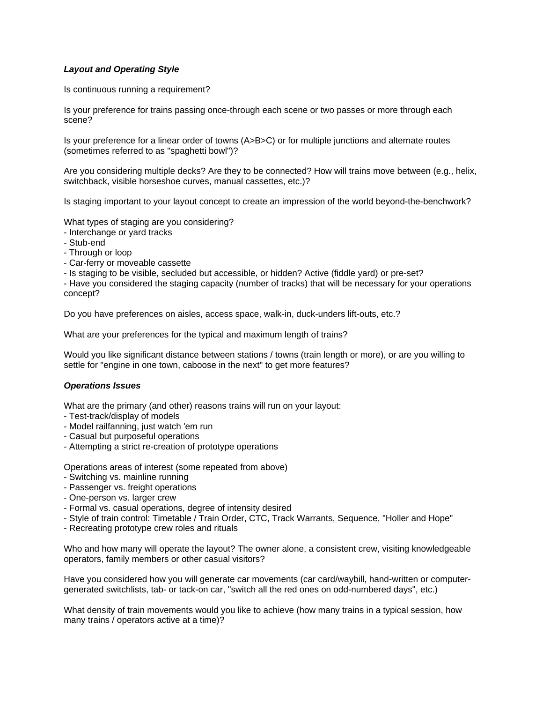# *Layout and Operating Style*

Is continuous running a requirement?

Is your preference for trains passing once-through each scene or two passes or more through each scene?

Is your preference for a linear order of towns (A>B>C) or for multiple junctions and alternate routes (sometimes referred to as "spaghetti bowl")?

Are you considering multiple decks? Are they to be connected? How will trains move between (e.g., helix, switchback, visible horseshoe curves, manual cassettes, etc.)?

Is staging important to your layout concept to create an impression of the world beyond-the-benchwork?

What types of staging are you considering?

- Interchange or yard tracks
- Stub-end
- Through or loop
- Car-ferry or moveable cassette
- Is staging to be visible, secluded but accessible, or hidden? Active (fiddle yard) or pre-set?

- Have you considered the staging capacity (number of tracks) that will be necessary for your operations concept?

Do you have preferences on aisles, access space, walk-in, duck-unders lift-outs, etc.?

What are your preferences for the typical and maximum length of trains?

Would you like significant distance between stations / towns (train length or more), or are you willing to settle for "engine in one town, caboose in the next" to get more features?

#### *Operations Issues*

What are the primary (and other) reasons trains will run on your layout:

- Test-track/display of models
- Model railfanning, just watch 'em run
- Casual but purposeful operations
- Attempting a strict re-creation of prototype operations

Operations areas of interest (some repeated from above)

- Switching vs. mainline running
- Passenger vs. freight operations
- One-person vs. larger crew
- Formal vs. casual operations, degree of intensity desired
- Style of train control: Timetable / Train Order, CTC, Track Warrants, Sequence, "Holler and Hope"
- Recreating prototype crew roles and rituals

Who and how many will operate the layout? The owner alone, a consistent crew, visiting knowledgeable operators, family members or other casual visitors?

Have you considered how you will generate car movements (car card/waybill, hand-written or computergenerated switchlists, tab- or tack-on car, "switch all the red ones on odd-numbered days", etc.)

What density of train movements would you like to achieve (how many trains in a typical session, how many trains / operators active at a time)?